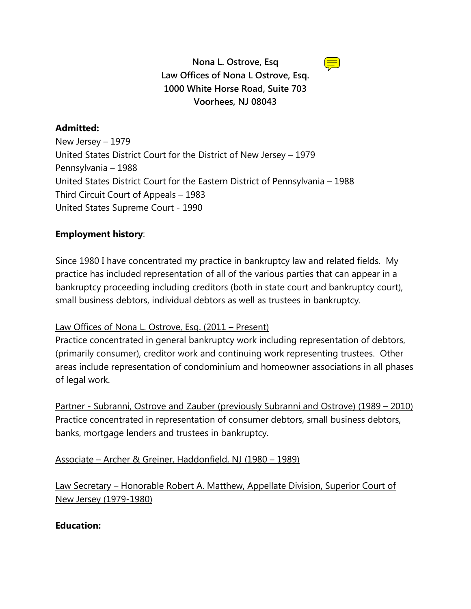

# **Nona L. Ostrove, Esq Law Offices of Nona L Ostrove, Esq. 1000 White Horse Road, Suite 703 Voorhees, NJ 08043**

# **Admitted:**

New Jersey – 1979 United States District Court for the District of New Jersey – 1979 Pennsylvania – 1988 United States District Court for the Eastern District of Pennsylvania – 1988 Third Circuit Court of Appeals – 1983 United States Supreme Court - 1990

# **Employment history**:

Since 1980 I have concentrated my practice in bankruptcy law and related fields. My practice has included representation of all of the various parties that can appear in a bankruptcy proceeding including creditors (both in state court and bankruptcy court), small business debtors, individual debtors as well as trustees in bankruptcy.

# Law Offices of Nona L. Ostrove, Esq. (2011 – Present)

Practice concentrated in general bankruptcy work including representation of debtors, (primarily consumer), creditor work and continuing work representing trustees. Other areas include representation of condominium and homeowner associations in all phases of legal work.

Partner - Subranni, Ostrove and Zauber (previously Subranni and Ostrove) (1989 – 2010) Practice concentrated in representation of consumer debtors, small business debtors, banks, mortgage lenders and trustees in bankruptcy.

Associate – Archer & Greiner, Haddonfield, NJ (1980 – 1989)

Law Secretary – Honorable Robert A. Matthew, Appellate Division, Superior Court of New Jersey (1979-1980)

# **Education:**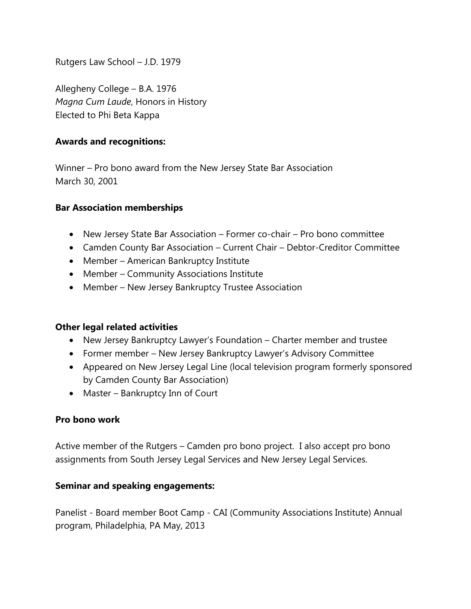Rutgers Law School – J.D. 1979

Allegheny College – B.A. 1976 *Magna Cum Laude*, Honors in History Elected to Phi Beta Kappa

#### **Awards and recognitions:**

Winner – Pro bono award from the New Jersey State Bar Association March 30, 2001

#### **Bar Association memberships**

- New Jersey State Bar Association Former co-chair Pro bono committee
- Camden County Bar Association Current Chair Debtor-Creditor Committee
- Member American Bankruptcy Institute
- Member Community Associations Institute
- Member New Jersey Bankruptcy Trustee Association

### **Other legal related activities**

- New Jersey Bankruptcy Lawyer's Foundation Charter member and trustee
- Former member New Jersey Bankruptcy Lawyer's Advisory Committee
- Appeared on New Jersey Legal Line (local television program formerly sponsored by Camden County Bar Association)
- Master Bankruptcy Inn of Court

### **Pro bono work**

Active member of the Rutgers – Camden pro bono project. I also accept pro bono assignments from South Jersey Legal Services and New Jersey Legal Services.

#### **Seminar and speaking engagements:**

Panelist - Board member Boot Camp - CAI (Community Associations Institute) Annual program, Philadelphia, PA May, 2013